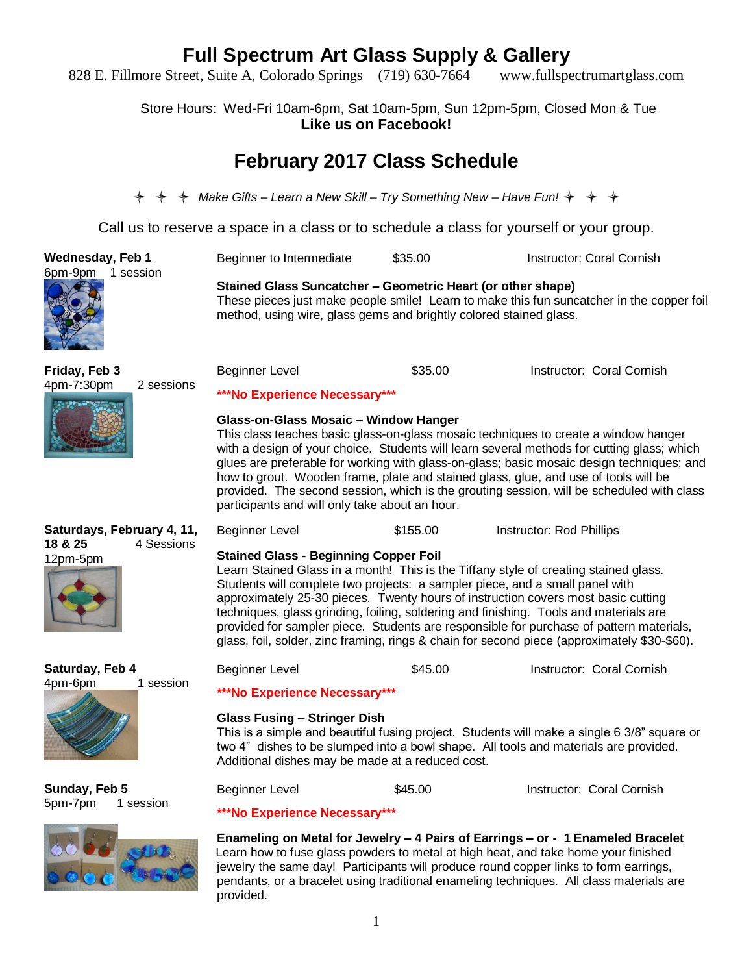828 E. Fillmore Street, Suite A, Colorado Springs (719) 630-7664 www.fullspectrumartglass.com

Store Hours: Wed-Fri 10am-6pm, Sat 10am-5pm, Sun 12pm-5pm, Closed Mon & Tue **Like us on Facebook!**

### **February 2017 Class Schedule**

*Make Gifts – Learn a New Skill – Try Something New – Have Fun!* 

Call us to reserve a space in a class or to schedule a class for yourself or your group.

**Wednesday, Feb 1** 6pm-9pm 1 session

**Stained Glass Suncatcher – Geometric Heart (or other shape)** These pieces just make people smile! Learn to make this fun suncatcher in the copper foil method, using wire, glass gems and brightly colored stained glass.

Beginner to Intermediate \$35.00 Instructor: Coral Cornish

**Friday, Feb 3**



| 4pm-7:30pm | 2 sessions |
|------------|------------|
|            |            |

Beginner Level **\$35.00** Instructor: Coral Cornish

### **\*\*\*No Experience Necessary\*\*\***

#### **Glass-on-Glass Mosaic – Window Hanger**

This class teaches basic glass-on-glass mosaic techniques to create a window hanger with a design of your choice. Students will learn several methods for cutting glass; which glues are preferable for working with glass-on-glass; basic mosaic design techniques; and how to grout. Wooden frame, plate and stained glass, glue, and use of tools will be provided. The second session, which is the grouting session, will be scheduled with class participants and will only take about an hour.

### **Saturdays, February 4, 11, 18 & 25** 4 Sessions



**Saturday, Feb 4**

4pm-6pm 1 session

**Stained Glass - Beginning Copper Foil**

Learn Stained Glass in a month! This is the Tiffany style of creating stained glass. Students will complete two projects: a sampler piece, and a small panel with approximately 25-30 pieces. Twenty hours of instruction covers most basic cutting techniques, glass grinding, foiling, soldering and finishing. Tools and materials are provided for sampler piece. Students are responsible for purchase of pattern materials, glass, foil, solder, zinc framing, rings & chain for second piece (approximately \$30-\$60).

Beginner Level \$155.00 Instructor: Rod Phillips

Beginner Level **\$45.00** Instructor: Coral Cornish

**\*\*\*No Experience Necessary\*\*\***

#### **Glass Fusing – Stringer Dish**

This is a simple and beautiful fusing project. Students will make a single 6 3/8" square or two 4" dishes to be slumped into a bowl shape. All tools and materials are provided. Additional dishes may be made at a reduced cost.

**Sunday, Feb 5** 5pm-7pm 1 session



Beginner Level **\$45.00** Instructor: Coral Cornish

### **\*\*\*No Experience Necessary\*\*\***

**Enameling on Metal for Jewelry – 4 Pairs of Earrings – or - 1 Enameled Bracelet**  Learn how to fuse glass powders to metal at high heat, and take home your finished jewelry the same day! Participants will produce round copper links to form earrings, pendants, or a bracelet using traditional enameling techniques. All class materials are provided.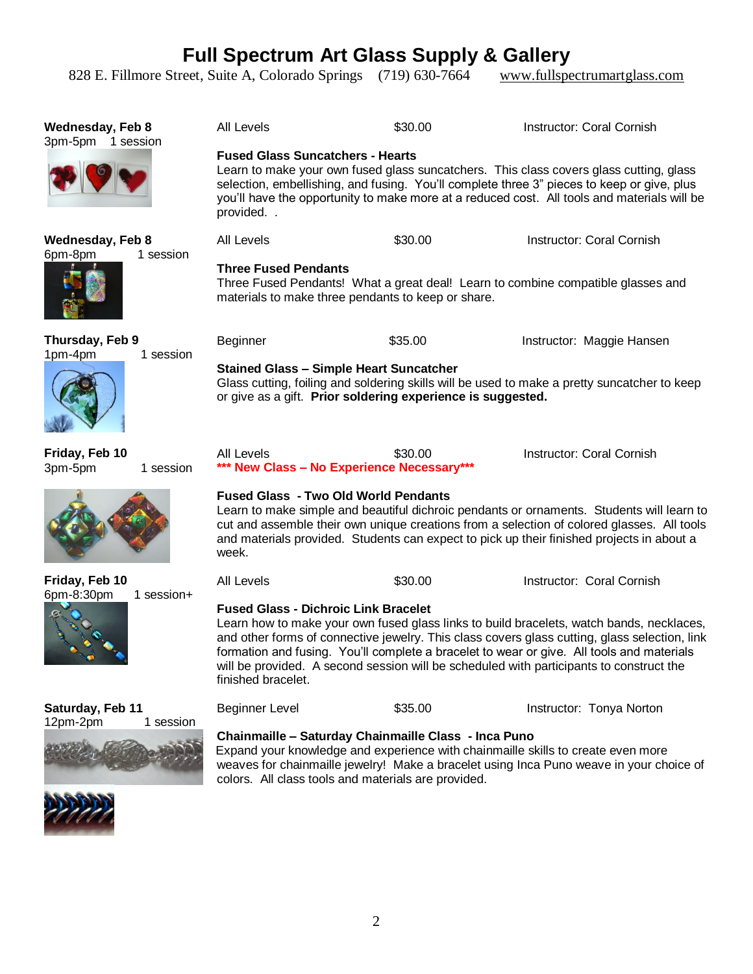828 E. Fillmore Street, Suite A, Colorado Springs (719) 630-7664 www.fullspectrumartglass.com

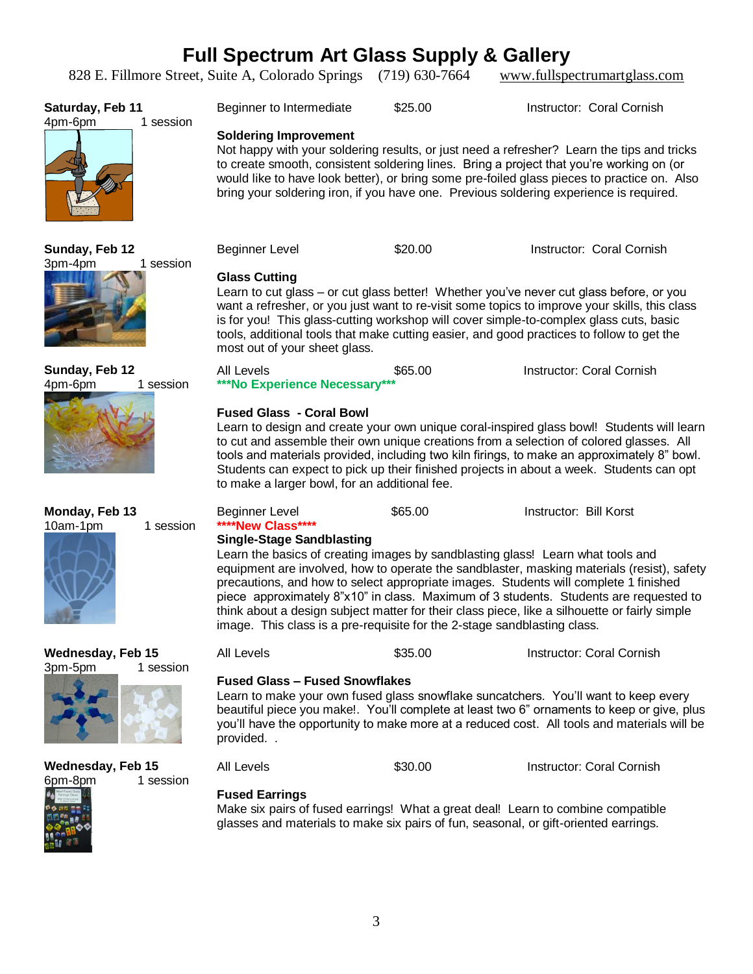828 E. Fillmore Street, Suite A, Colorado Springs (719) 630-7664 www.fullspectrumartglass.com

| Saturday, Feb 11<br>1 session<br>4pm-6pm | Beginner to Intermediate                                                                                                                                                                                                                                                                                                                                                                                                                                            | \$25.00 | Instructor: Coral Cornish                                                                                                                                                                                                                                                            |  |
|------------------------------------------|---------------------------------------------------------------------------------------------------------------------------------------------------------------------------------------------------------------------------------------------------------------------------------------------------------------------------------------------------------------------------------------------------------------------------------------------------------------------|---------|--------------------------------------------------------------------------------------------------------------------------------------------------------------------------------------------------------------------------------------------------------------------------------------|--|
|                                          | <b>Soldering Improvement</b><br>to create smooth, consistent soldering lines. Bring a project that you're working on (or<br>bring your soldering iron, if you have one. Previous soldering experience is required.                                                                                                                                                                                                                                                  |         | Not happy with your soldering results, or just need a refresher? Learn the tips and tricks<br>would like to have look better), or bring some pre-foiled glass pieces to practice on. Also                                                                                            |  |
| Sunday, Feb 12<br>3pm-4pm<br>1 session   | <b>Beginner Level</b>                                                                                                                                                                                                                                                                                                                                                                                                                                               | \$20.00 | Instructor: Coral Cornish                                                                                                                                                                                                                                                            |  |
|                                          | <b>Glass Cutting</b><br>Learn to cut glass - or cut glass better! Whether you've never cut glass before, or you<br>want a refresher, or you just want to re-visit some topics to improve your skills, this class<br>is for you! This glass-cutting workshop will cover simple-to-complex glass cuts, basic<br>tools, additional tools that make cutting easier, and good practices to follow to get the<br>most out of your sheet glass.                            |         |                                                                                                                                                                                                                                                                                      |  |
| Sunday, Feb 12<br>4pm-6pm<br>1 session   | All Levels<br>***No Experience Necessary***                                                                                                                                                                                                                                                                                                                                                                                                                         | \$65.00 | Instructor: Coral Cornish                                                                                                                                                                                                                                                            |  |
|                                          | <b>Fused Glass - Coral Bowl</b><br>Learn to design and create your own unique coral-inspired glass bow!! Students will learn<br>to cut and assemble their own unique creations from a selection of colored glasses. All<br>tools and materials provided, including two kiln firings, to make an approximately 8" bowl.<br>Students can expect to pick up their finished projects in about a week. Students can opt<br>to make a larger bowl, for an additional fee. |         |                                                                                                                                                                                                                                                                                      |  |
|                                          |                                                                                                                                                                                                                                                                                                                                                                                                                                                                     |         |                                                                                                                                                                                                                                                                                      |  |
| Monday, Feb 13                           | <b>Beginner Level</b>                                                                                                                                                                                                                                                                                                                                                                                                                                               | \$65.00 | Instructor: Bill Korst                                                                                                                                                                                                                                                               |  |
| 10am-1pm<br>1 session                    | ****New Class****<br><b>Single-Stage Sandblasting</b><br>Learn the basics of creating images by sandblasting glass! Learn what tools and<br>precautions, and how to select appropriate images. Students will complete 1 finished<br>image. This class is a pre-requisite for the 2-stage sandblasting class.                                                                                                                                                        |         | equipment are involved, how to operate the sandblaster, masking materials (resist), safety<br>piece approximately 8"x10" in class. Maximum of 3 students. Students are requested to<br>think about a design subject matter for their class piece, like a silhouette or fairly simple |  |
| Wednesday, Feb 15                        | All Levels                                                                                                                                                                                                                                                                                                                                                                                                                                                          | \$35.00 | Instructor: Coral Cornish                                                                                                                                                                                                                                                            |  |
| 3pm-5pm<br>1 session                     | <b>Fused Glass - Fused Snowflakes</b><br>provided                                                                                                                                                                                                                                                                                                                                                                                                                   |         | Learn to make your own fused glass snowflake suncatchers. You'll want to keep every<br>beautiful piece you make!. You'll complete at least two 6" ornaments to keep or give, plus<br>you'll have the opportunity to make more at a reduced cost. All tools and materials will be     |  |
| <b>Wednesday, Feb 15</b>                 | <b>All Levels</b>                                                                                                                                                                                                                                                                                                                                                                                                                                                   | \$30.00 | Instructor: Coral Cornish                                                                                                                                                                                                                                                            |  |
| 6pm-8pm<br>1 session                     | <b>Fused Earrings</b><br>Make six pairs of fused earrings! What a great deal! Learn to combine compatible<br>glasses and materials to make six pairs of fun, seasonal, or gift-oriented earrings.                                                                                                                                                                                                                                                                   |         |                                                                                                                                                                                                                                                                                      |  |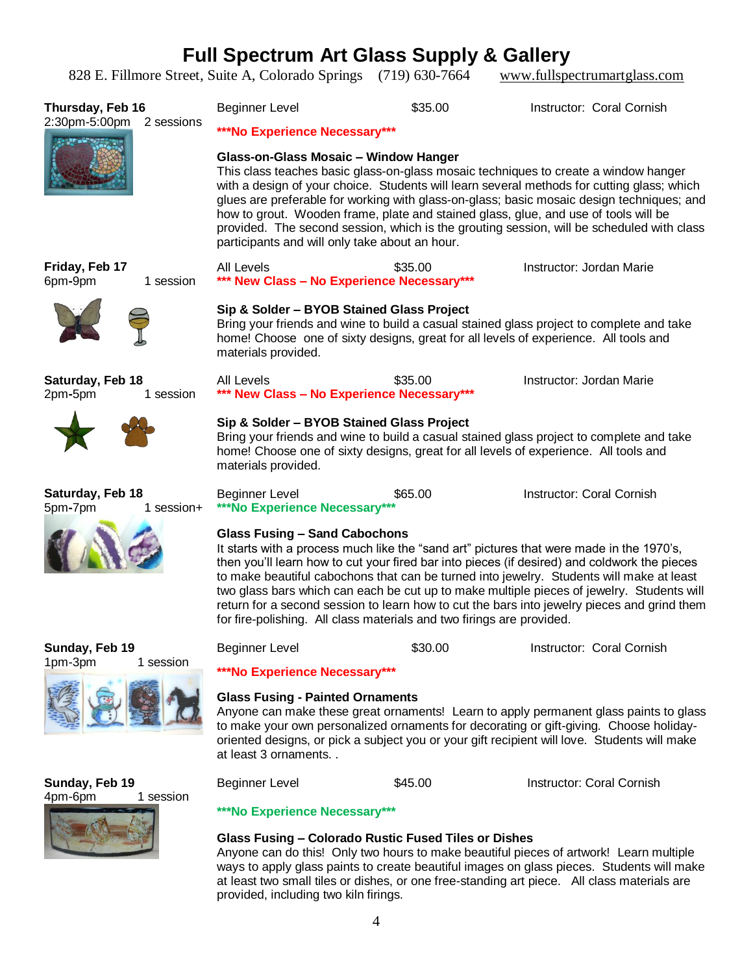828 E. Fillmore Street, Suite A, Colorado Springs (719) 630-7664 www.fullspectrumartglass.com

|                                              | 828 E. Fillmore Street, Suite A, Colorado Springs (719) 630-7664                                                                                                                                                                                                                                                                                                                                                                                                                                                                                                                                  |         | www.fullspectrumartglass.com                                                                                                                                                     |  |
|----------------------------------------------|---------------------------------------------------------------------------------------------------------------------------------------------------------------------------------------------------------------------------------------------------------------------------------------------------------------------------------------------------------------------------------------------------------------------------------------------------------------------------------------------------------------------------------------------------------------------------------------------------|---------|----------------------------------------------------------------------------------------------------------------------------------------------------------------------------------|--|
| Thursday, Feb 16<br>2:30pm-5:00pm 2 sessions | <b>Beginner Level</b><br>***No Experience Necessary***                                                                                                                                                                                                                                                                                                                                                                                                                                                                                                                                            | \$35.00 | Instructor: Coral Cornish                                                                                                                                                        |  |
|                                              | Glass-on-Glass Mosaic - Window Hanger<br>This class teaches basic glass-on-glass mosaic techniques to create a window hanger<br>with a design of your choice. Students will learn several methods for cutting glass; which<br>glues are preferable for working with glass-on-glass; basic mosaic design techniques; and<br>how to grout. Wooden frame, plate and stained glass, glue, and use of tools will be<br>provided. The second session, which is the grouting session, will be scheduled with class<br>participants and will only take about an hour.                                     |         |                                                                                                                                                                                  |  |
| Friday, Feb 17<br>6pm-9pm<br>1 session       | All Levels<br>*** New Class - No Experience Necessary***                                                                                                                                                                                                                                                                                                                                                                                                                                                                                                                                          | \$35.00 | Instructor: Jordan Marie                                                                                                                                                         |  |
|                                              | Sip & Solder - BYOB Stained Glass Project<br>materials provided.                                                                                                                                                                                                                                                                                                                                                                                                                                                                                                                                  |         | Bring your friends and wine to build a casual stained glass project to complete and take<br>home! Choose one of sixty designs, great for all levels of experience. All tools and |  |
| Saturday, Feb 18<br>2pm-5pm<br>1 session     | All Levels<br>*** New Class - No Experience Necessary***                                                                                                                                                                                                                                                                                                                                                                                                                                                                                                                                          | \$35.00 | Instructor: Jordan Marie                                                                                                                                                         |  |
|                                              | Sip & Solder - BYOB Stained Glass Project<br>materials provided.                                                                                                                                                                                                                                                                                                                                                                                                                                                                                                                                  |         | Bring your friends and wine to build a casual stained glass project to complete and take<br>home! Choose one of sixty designs, great for all levels of experience. All tools and |  |
| Saturday, Feb 18<br>5pm-7pm<br>1 session+    | Beginner Level<br>***No Experience Necessary***                                                                                                                                                                                                                                                                                                                                                                                                                                                                                                                                                   | \$65.00 | Instructor: Coral Cornish                                                                                                                                                        |  |
|                                              | <b>Glass Fusing - Sand Cabochons</b><br>It starts with a process much like the "sand art" pictures that were made in the 1970's,<br>then you'll learn how to cut your fired bar into pieces (if desired) and coldwork the pieces<br>to make beautiful cabochons that can be turned into jewelry. Students will make at least<br>two glass bars which can each be cut up to make multiple pieces of jewelry. Students will<br>return for a second session to learn how to cut the bars into jewelry pieces and grind them<br>for fire-polishing. All class materials and two firings are provided. |         |                                                                                                                                                                                  |  |
| Sunday, Feb 19                               | <b>Beginner Level</b>                                                                                                                                                                                                                                                                                                                                                                                                                                                                                                                                                                             | \$30.00 | Instructor: Coral Cornish                                                                                                                                                        |  |

**\*\*\*No Experience Necessary\*\*\***

#### **Glass Fusing - Painted Ornaments**

Anyone can make these great ornaments! Learn to apply permanent glass paints to glass to make your own personalized ornaments for decorating or gift-giving. Choose holidayoriented designs, or pick a subject you or your gift recipient will love. Students will make at least 3 ornaments. .

**Sunday, Feb 19** 4pm-6pm 1 session

1pm-3pm 1 session



Beginner Level **\$45.00** Instructor: Coral Cornish

#### **\*\*\*No Experience Necessary\*\*\***

#### **Glass Fusing – Colorado Rustic Fused Tiles or Dishes**

Anyone can do this! Only two hours to make beautiful pieces of artwork! Learn multiple ways to apply glass paints to create beautiful images on glass pieces. Students will make at least two small tiles or dishes, or one free-standing art piece. All class materials are provided, including two kiln firings.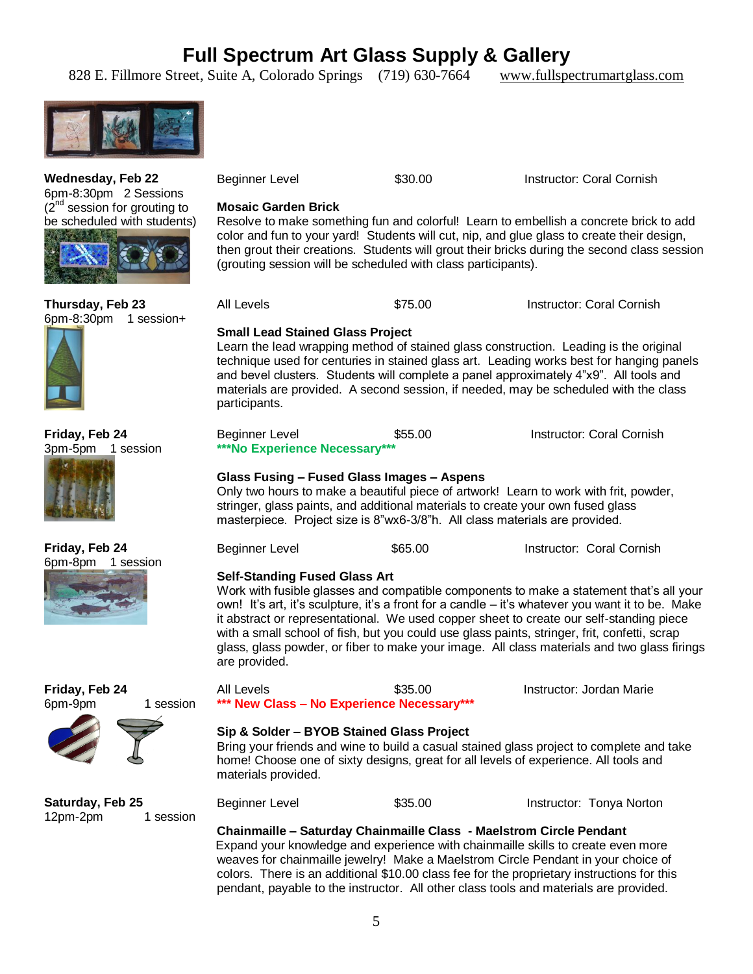828 E. Fillmore Street, Suite A, Colorado Springs (719) 630-7664 www.fullspectrumartglass.com



 $(2^{nd}$  session for grouting to be scheduled with students) **Mosaic Garden Brick** Resolve to make something fun and colorful! Learn to embellish a concrete brick to add color and fun to your yard! Students will cut, nip, and glue glass to create their design, then grout their creations. Students will grout their bricks during the second class session (grouting session will be scheduled with class participants). All Levels **\$75.00** Instructor: Coral Cornish **Small Lead Stained Glass Project** Learn the lead wrapping method of stained glass construction. Leading is the original technique used for centuries in stained glass art. Leading works best for hanging panels and bevel clusters. Students will complete a panel approximately 4"x9". All tools and materials are provided. A second session, if needed, may be scheduled with the class participants. Beginner Level **\$55.00** Instructor: Coral Cornish **\*\*\*No Experience Necessary\*\*\* Glass Fusing – Fused Glass Images – Aspens Self-Standing Fused Glass Art** are provided. **\*\*\* New Class – No Experience Necessary\*\*\* Sip & Solder – BYOB Stained Glass Project** materials provided. Beginner Level **\$35.00** Instructor: Tonya Norton **Chainmaille – Saturday Chainmaille Class - Maelstrom Circle Pendant**

Expand your knowledge and experience with chainmaille skills to create even more weaves for chainmaille jewelry! Make a Maelstrom Circle Pendant in your choice of colors. There is an additional \$10.00 class fee for the proprietary instructions for this pendant, payable to the instructor. All other class tools and materials are provided.

**Wednesday, Feb 22** 6pm-8:30pm 2 Sessions

#### **Thursday, Feb 23** 6pm-8:30pm 1 session+



**Friday, Feb 24** 3pm-5pm 1 session



**Friday, Feb 24** 6pm-8pm 1 session





**Saturday, Feb 25** 12pm-2pm 1 session

5

Only two hours to make a beautiful piece of artwork! Learn to work with frit, powder, stringer, glass paints, and additional materials to create your own fused glass masterpiece. Project size is 8"wx6-3/8"h. All class materials are provided.

Beginner Level \$30.00 Instructor: Coral Cornish

| Beginner Level | \$65.00 | Instructor: Coral Cornish |
|----------------|---------|---------------------------|
|                |         |                           |

Work with fusible glasses and compatible components to make a statement that's all your own! It's art, it's sculpture, it's a front for a candle – it's whatever you want it to be. Make it abstract or representational. We used copper sheet to create our self-standing piece with a small school of fish, but you could use glass paints, stringer, frit, confetti, scrap glass, glass powder, or fiber to make your image. All class materials and two glass firings

All Levels \$35.00 Instructor: Jordan Marie Bring your friends and wine to build a casual stained glass project to complete and take home! Choose one of sixty designs, great for all levels of experience. All tools and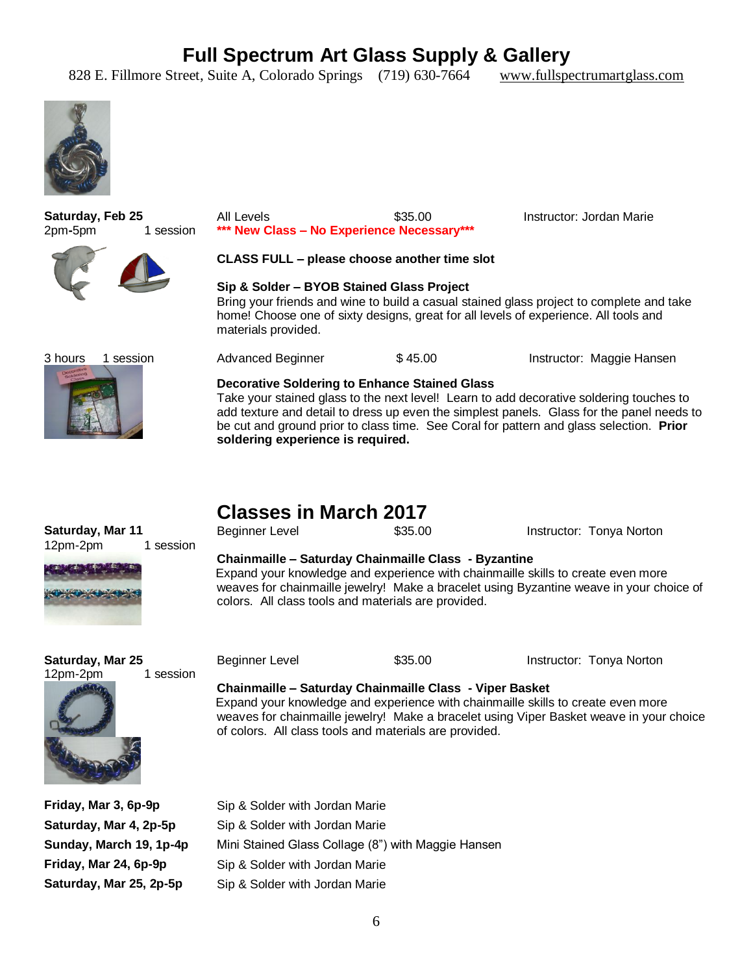828 E. Fillmore Street, Suite A, Colorado Springs (719) 630-7664 www.fullspectrumartglass.com





### **Classes in March 2017**

| Saturday, Mar 11<br>12pm-2pm<br>1 session | <b>Beginner Level</b>                                                                                                                                                                                                                                                                      | \$35.00 | Instructor: Tonya Norton                                                                                            |  |
|-------------------------------------------|--------------------------------------------------------------------------------------------------------------------------------------------------------------------------------------------------------------------------------------------------------------------------------------------|---------|---------------------------------------------------------------------------------------------------------------------|--|
|                                           | Chainmaille - Saturday Chainmaille Class - Byzantine<br>Expand your knowledge and experience with chainmaille skills to create even more<br>weaves for chainmaille jewelry! Make a bracelet using Byzantine weave in your choice of<br>colors. All class tools and materials are provided. |         |                                                                                                                     |  |
| Saturday, Mar 25<br>12pm-2pm<br>1 session | <b>Beginner Level</b><br>Chainmaille - Saturday Chainmaille Class - Viper Basket<br>Expand your knowledge and experience with chainmaille skills to create even more<br>of colors. All class tools and materials are provided.                                                             | \$35.00 | Instructor: Tonya Norton<br>weaves for chainmaille jewelry! Make a bracelet using Viper Basket weave in your choice |  |
| Friday, Mar 3, 6p-9p                      | Sip & Solder with Jordan Marie                                                                                                                                                                                                                                                             |         |                                                                                                                     |  |
| Saturday, Mar 4, 2p-5p                    | Sip & Solder with Jordan Marie                                                                                                                                                                                                                                                             |         |                                                                                                                     |  |
| Sunday, March 19, 1p-4p                   | Mini Stained Glass Collage (8") with Maggie Hansen                                                                                                                                                                                                                                         |         |                                                                                                                     |  |
| Friday, Mar 24, 6p-9p                     | Sip & Solder with Jordan Marie                                                                                                                                                                                                                                                             |         |                                                                                                                     |  |
| Saturday, Mar 25, 2p-5p                   | Sip & Solder with Jordan Marie                                                                                                                                                                                                                                                             |         |                                                                                                                     |  |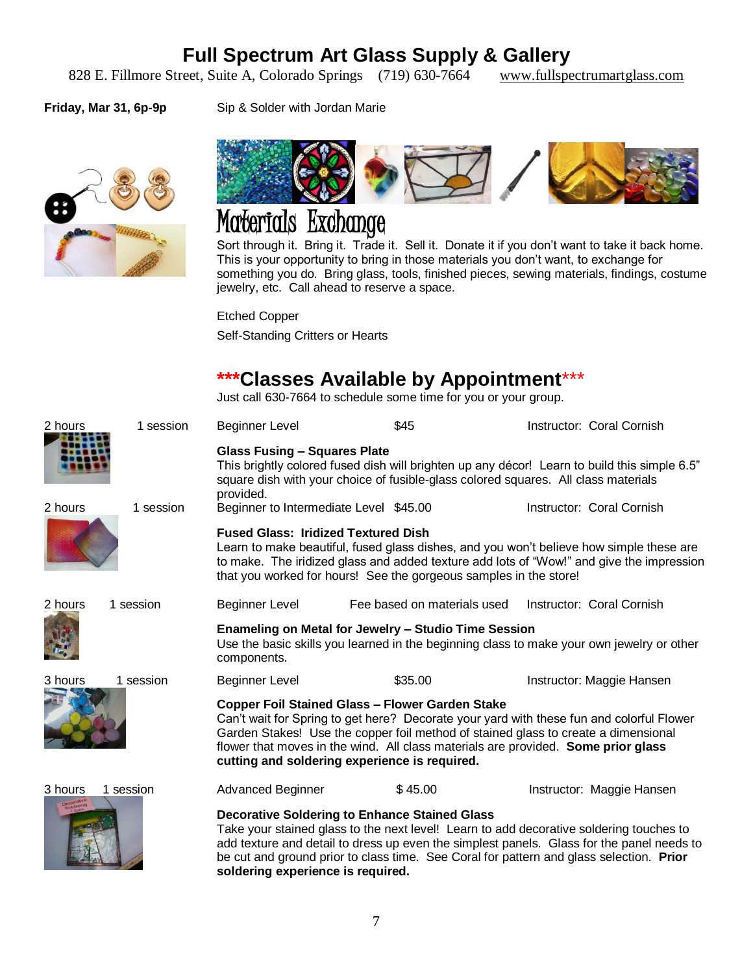828 E. Fillmore Street, Suite A, Colorado Springs (719) 630-7664 www.fullspectrumartglass.com

Friday, Mar 31, 6p-9p Sip & Solder with Jordan Marie





# Materials Exchange

Sort through it. Bring it. Trade it. Sell it. Donate it if you don't want to take it back home. This is your opportunity to bring in those materials you don't want, to exchange for something you do. Bring glass, tools, finished pieces, sewing materials, findings, costume jewelry, etc. Call ahead to reserve a space.

Etched Copper

Self-Standing Critters or Hearts

### **\*\*\*Classes Available by Appointment**\*\*\*

Just call 630-7664 to schedule some time for you or your group.

| 2 hours              | 1 session                                                                                                                                                                                                                                                                                                                                                                      | <b>Beginner Level</b>                                                                                                                                                                                                                                                                                                                                                        | \$45                        | Instructor: Coral Cornish                                                                                                 |  |
|----------------------|--------------------------------------------------------------------------------------------------------------------------------------------------------------------------------------------------------------------------------------------------------------------------------------------------------------------------------------------------------------------------------|------------------------------------------------------------------------------------------------------------------------------------------------------------------------------------------------------------------------------------------------------------------------------------------------------------------------------------------------------------------------------|-----------------------------|---------------------------------------------------------------------------------------------------------------------------|--|
| 2 hours              | 1 session                                                                                                                                                                                                                                                                                                                                                                      | <b>Glass Fusing - Squares Plate</b><br>square dish with your choice of fusible-glass colored squares. All class materials<br>provided.<br>Beginner to Intermediate Level \$45.00                                                                                                                                                                                             |                             | This brightly colored fused dish will brighten up any décor! Learn to build this simple 6.5"<br>Instructor: Coral Cornish |  |
|                      |                                                                                                                                                                                                                                                                                                                                                                                | <b>Fused Glass: Iridized Textured Dish</b><br>Learn to make beautiful, fused glass dishes, and you won't believe how simple these are<br>to make. The iridized glass and added texture add lots of "Wow!" and give the impression<br>that you worked for hours! See the gorgeous samples in the store!                                                                       |                             |                                                                                                                           |  |
| 2 hours              | 1 session                                                                                                                                                                                                                                                                                                                                                                      | <b>Beginner Level</b>                                                                                                                                                                                                                                                                                                                                                        | Fee based on materials used | Instructor: Coral Cornish                                                                                                 |  |
|                      |                                                                                                                                                                                                                                                                                                                                                                                | <b>Enameling on Metal for Jewelry - Studio Time Session</b><br>Use the basic skills you learned in the beginning class to make your own jewelry or other<br>components.                                                                                                                                                                                                      |                             |                                                                                                                           |  |
| 3 hours<br>1 session |                                                                                                                                                                                                                                                                                                                                                                                | <b>Beginner Level</b>                                                                                                                                                                                                                                                                                                                                                        | \$35.00                     | Instructor: Maggie Hansen                                                                                                 |  |
|                      | <b>Copper Foil Stained Glass - Flower Garden Stake</b><br>Can't wait for Spring to get here? Decorate your yard with these fun and colorful Flower<br>Garden Stakes! Use the copper foil method of stained glass to create a dimensional<br>flower that moves in the wind. All class materials are provided. Some prior glass<br>cutting and soldering experience is required. |                                                                                                                                                                                                                                                                                                                                                                              |                             |                                                                                                                           |  |
| 3 hours<br>1 session | Advanced Beginner                                                                                                                                                                                                                                                                                                                                                              | \$45.00                                                                                                                                                                                                                                                                                                                                                                      | Instructor: Maggie Hansen   |                                                                                                                           |  |
|                      |                                                                                                                                                                                                                                                                                                                                                                                | <b>Decorative Soldering to Enhance Stained Glass</b><br>Take your stained glass to the next level! Learn to add decorative soldering touches to<br>add texture and detail to dress up even the simplest panels. Glass for the panel needs to<br>be cut and ground prior to class time. See Coral for pattern and glass selection. Prior<br>soldering experience is required. |                             |                                                                                                                           |  |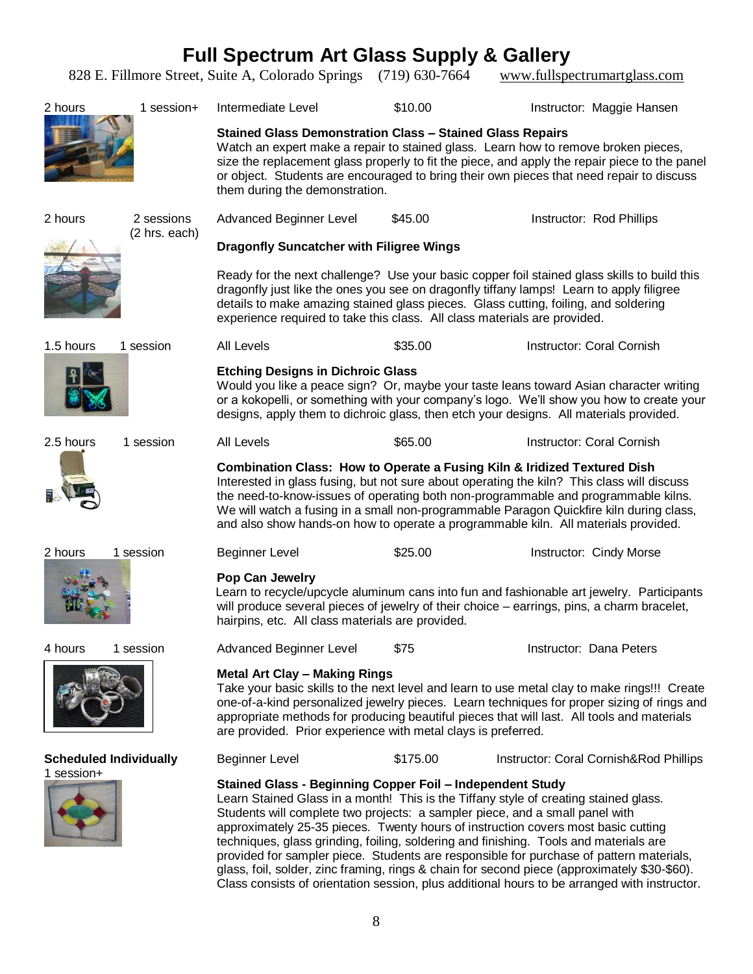**Full Spectrum Art Glass Supply & Gallery** 828 E. Fillmore Street, Suite A, Colorado Springs (719) 630-7664 www.fullspectrumartglass.com 2 hours 1 session+ Intermediate Level 510.00 1nstructor: Maggie Hansen **Stained Glass Demonstration Class – Stained Glass Repairs** Watch an expert make a repair to stained glass. Learn how to remove broken pieces, size the replacement glass properly to fit the piece, and apply the repair piece to the panel or object. Students are encouraged to bring their own pieces that need repair to discuss them during the demonstration. 2 hours2 sessions (2 hrs. each) Advanced Beginner Level  $$45.00$  Instructor: Rod Phillips **Dragonfly Suncatcher with Filigree Wings** Ready for the next challenge?Use your basic copper foil stained glass skills to build this dragonfly just like the ones you see on dragonfly tiffany lamps! Learn to apply filigree details to make amazing stained glass pieces. Glass cutting, foiling, and soldering experience required to take this class. All class materials are provided. 1.5 hours1 session All Levels \$35.00 Instructor: Coral Cornish **Etching Designs in Dichroic Glass** Would you like a peace sign? Or, maybe your taste leans toward Asian character writing or a kokopelli, or something with your company's logo. We'll show you how to create your designs, apply them to dichroic glass, then etch your designs. All materials provided. 2.5 hours1 session All Levels \$65.00 Instructor: Coral Cornish **Combination Class: How to Operate a Fusing Kiln & Iridized Textured Dish** Interested in glass fusing, but not sure about operating the kiln? This class will discuss the need-to-know-issues of operating both non-programmable and programmable kilns. We will watch a fusing in a small non-programmable Paragon Quickfire kiln during class, and also show hands-on how to operate a programmable kiln. All materials provided. 2 hours1 session Beginner Level \$25.00 Instructor: Cindy Morse **Pop Can Jewelry** Learn to recycle/upcycle aluminum cans into fun and fashionable art jewelry. Participants will produce several pieces of jewelry of their choice – earrings, pins, a charm bracelet, hairpins, etc. All class materials are provided. 4 hours 1 session and Advanced Beginner Level 575 Same Bustructor: Dana Peters **Metal Art Clay – Making Rings** Take your basic skills to the next level and learn to use metal clay to make rings!!! Create one-of-a-kind personalized jewelry pieces. Learn techniques for proper sizing of rings and appropriate methods for producing beautiful pieces that will last. All tools and materials are provided. Prior experience with metal clays is preferred. **Scheduled Individually** 1 session+ Beginner Level \$175.00 Instructor: Coral Cornish&Rod Phillips **Stained Glass - Beginning Copper Foil – Independent Study** Learn Stained Glass in a month! This is the Tiffany style of creating stained glass. Students will complete two projects: a sampler piece, and a small panel with approximately 25-35 pieces. Twenty hours of instruction covers most basic cutting

> techniques, glass grinding, foiling, soldering and finishing. Tools and materials are provided for sampler piece. Students are responsible for purchase of pattern materials, glass, foil, solder, zinc framing, rings & chain for second piece (approximately \$30-\$60). Class consists of orientation session, plus additional hours to be arranged with instructor.